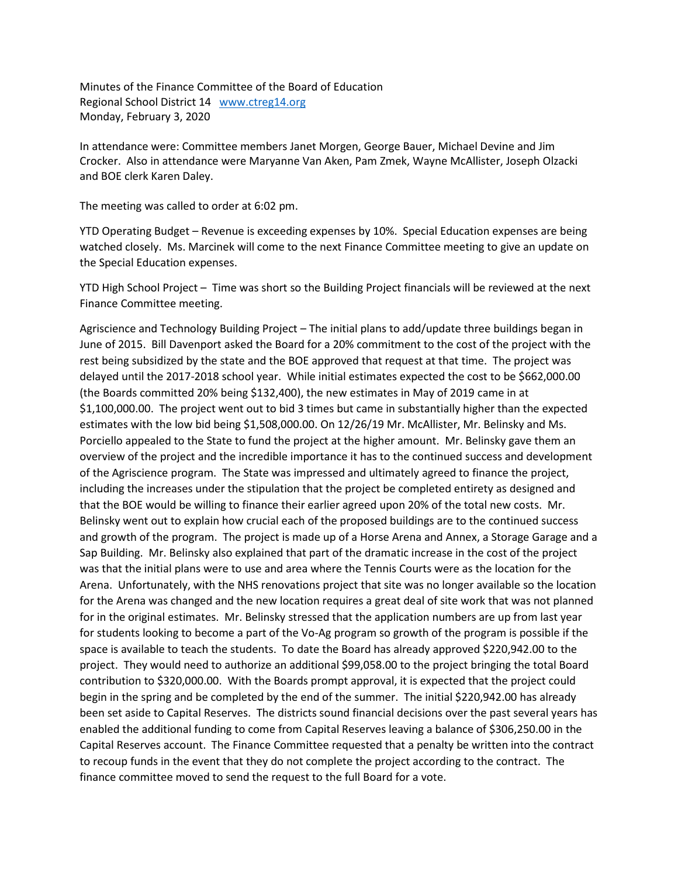Minutes of the Finance Committee of the Board of Education Regional School District 14 [www.ctreg14.org](http://www.ctreg14.org/) Monday, February 3, 2020

In attendance were: Committee members Janet Morgen, George Bauer, Michael Devine and Jim Crocker. Also in attendance were Maryanne Van Aken, Pam Zmek, Wayne McAllister, Joseph Olzacki and BOE clerk Karen Daley.

The meeting was called to order at 6:02 pm.

YTD Operating Budget – Revenue is exceeding expenses by 10%. Special Education expenses are being watched closely. Ms. Marcinek will come to the next Finance Committee meeting to give an update on the Special Education expenses.

YTD High School Project – Time was short so the Building Project financials will be reviewed at the next Finance Committee meeting.

Agriscience and Technology Building Project – The initial plans to add/update three buildings began in June of 2015. Bill Davenport asked the Board for a 20% commitment to the cost of the project with the rest being subsidized by the state and the BOE approved that request at that time. The project was delayed until the 2017-2018 school year. While initial estimates expected the cost to be \$662,000.00 (the Boards committed 20% being \$132,400), the new estimates in May of 2019 came in at \$1,100,000.00. The project went out to bid 3 times but came in substantially higher than the expected estimates with the low bid being \$1,508,000.00. On 12/26/19 Mr. McAllister, Mr. Belinsky and Ms. Porciello appealed to the State to fund the project at the higher amount. Mr. Belinsky gave them an overview of the project and the incredible importance it has to the continued success and development of the Agriscience program. The State was impressed and ultimately agreed to finance the project, including the increases under the stipulation that the project be completed entirety as designed and that the BOE would be willing to finance their earlier agreed upon 20% of the total new costs. Mr. Belinsky went out to explain how crucial each of the proposed buildings are to the continued success and growth of the program. The project is made up of a Horse Arena and Annex, a Storage Garage and a Sap Building. Mr. Belinsky also explained that part of the dramatic increase in the cost of the project was that the initial plans were to use and area where the Tennis Courts were as the location for the Arena. Unfortunately, with the NHS renovations project that site was no longer available so the location for the Arena was changed and the new location requires a great deal of site work that was not planned for in the original estimates. Mr. Belinsky stressed that the application numbers are up from last year for students looking to become a part of the Vo-Ag program so growth of the program is possible if the space is available to teach the students. To date the Board has already approved \$220,942.00 to the project. They would need to authorize an additional \$99,058.00 to the project bringing the total Board contribution to \$320,000.00. With the Boards prompt approval, it is expected that the project could begin in the spring and be completed by the end of the summer. The initial \$220,942.00 has already been set aside to Capital Reserves. The districts sound financial decisions over the past several years has enabled the additional funding to come from Capital Reserves leaving a balance of \$306,250.00 in the Capital Reserves account. The Finance Committee requested that a penalty be written into the contract to recoup funds in the event that they do not complete the project according to the contract. The finance committee moved to send the request to the full Board for a vote.